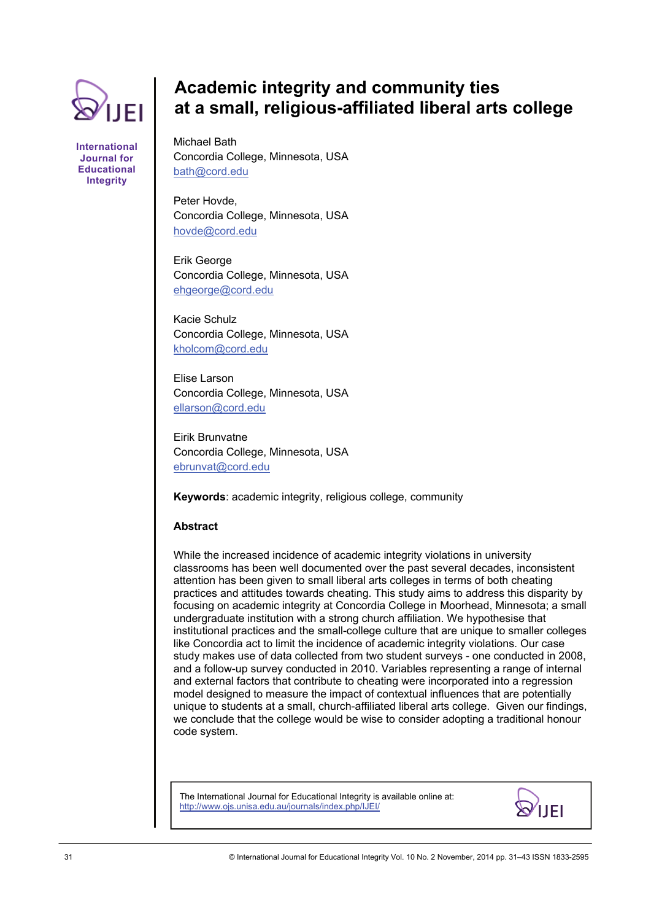

**International Journal for Educational Integrity** 

# **Academic integrity and community ties at a small, religious-affiliated liberal arts college**

Michael Bath Concordia College, Minnesota, USA [bath@cord.edu](mailto:bath@cord.edu)

Peter Hovde, Concordia College, Minnesota, USA [hovde@cord.edu](mailto:hovde@cord.edu)

Erik George Concordia College, Minnesota, USA [ehgeorge@cord.edu](mailto:ehgeorge@cord.edu)

Kacie Schulz Concordia College, Minnesota, USA [kholcom@cord.edu](mailto:kholcom@cord.edu)

Elise Larson Concordia College, Minnesota, USA [ellarson@cord.edu](mailto:ellarson@cord.edu)

Eirik Brunvatne Concordia College, Minnesota, USA [ebrunvat@cord.edu](mailto:ebrunvat@cord.edu) 

**Keywords**: academic integrity, religious college, community

# **Abstract**

While the increased incidence of academic integrity violations in university classrooms has been well documented over the past several decades, inconsistent attention has been given to small liberal arts colleges in terms of both cheating practices and attitudes towards cheating. This study aims to address this disparity by focusing on academic integrity at Concordia College in Moorhead, Minnesota; a small undergraduate institution with a strong church affiliation. We hypothesise that institutional practices and the small-college culture that are unique to smaller colleges like Concordia act to limit the incidence of academic integrity violations. Our case study makes use of data collected from two student surveys - one conducted in 2008, and a follow-up survey conducted in 2010. Variables representing a range of internal and external factors that contribute to cheating were incorporated into a regression model designed to measure the impact of contextual influences that are potentially unique to students at a small, church-affiliated liberal arts college. Given our findings, we conclude that the college would be wise to consider adopting a traditional honour code system.

The International Journal for Educational Integrity is available online at: http://www.ojs.unisa.edu.au/journals/index.php/IJEI/

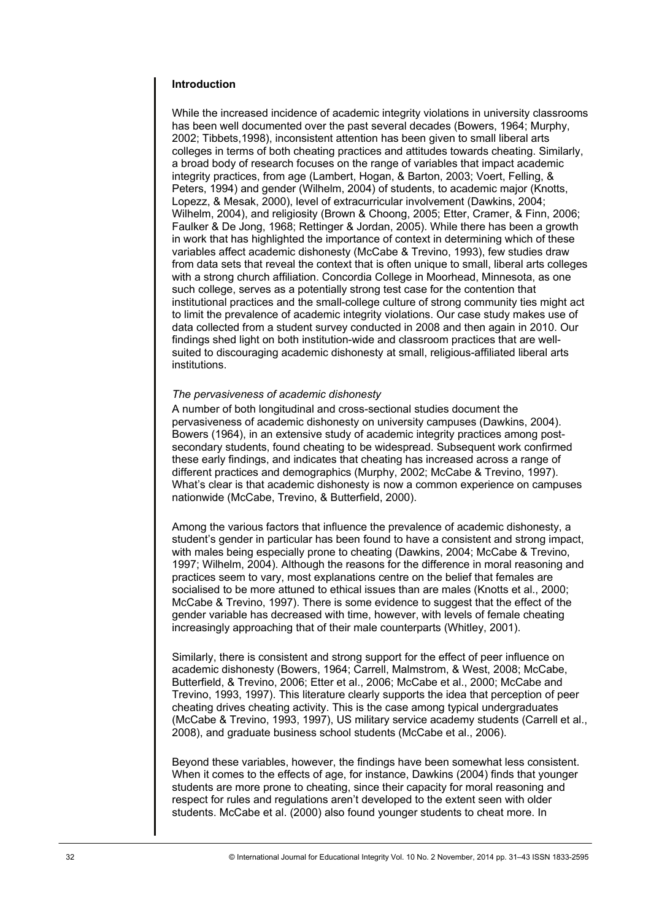# **Introduction**

While the increased incidence of academic integrity violations in university classrooms has been well documented over the past several decades (Bowers, 1964; Murphy, 2002; Tibbets,1998), inconsistent attention has been given to small liberal arts colleges in terms of both cheating practices and attitudes towards cheating. Similarly, a broad body of research focuses on the range of variables that impact academic integrity practices, from age (Lambert, Hogan, & Barton, 2003; Voert, Felling, & Peters, 1994) and gender (Wilhelm, 2004) of students, to academic major (Knotts, Lopezz, & Mesak, 2000), level of extracurricular involvement (Dawkins, 2004; Wilhelm, 2004), and religiosity (Brown & Choong, 2005; Etter, Cramer, & Finn, 2006; Faulker & De Jong, 1968; Rettinger & Jordan, 2005). While there has been a growth in work that has highlighted the importance of context in determining which of these variables affect academic dishonesty (McCabe & Trevino, 1993), few studies draw from data sets that reveal the context that is often unique to small, liberal arts colleges with a strong church affiliation. Concordia College in Moorhead, Minnesota, as one such college, serves as a potentially strong test case for the contention that institutional practices and the small-college culture of strong community ties might act to limit the prevalence of academic integrity violations. Our case study makes use of data collected from a student survey conducted in 2008 and then again in 2010. Our findings shed light on both institution-wide and classroom practices that are wellsuited to discouraging academic dishonesty at small, religious-affiliated liberal arts institutions.

## *The pervasiveness of academic dishonesty*

A number of both longitudinal and cross-sectional studies document the pervasiveness of academic dishonesty on university campuses (Dawkins, 2004). Bowers (1964), in an extensive study of academic integrity practices among postsecondary students, found cheating to be widespread. Subsequent work confirmed these early findings, and indicates that cheating has increased across a range of different practices and demographics (Murphy, 2002; McCabe & Trevino, 1997). What's clear is that academic dishonesty is now a common experience on campuses nationwide (McCabe, Trevino, & Butterfield, 2000).

Among the various factors that influence the prevalence of academic dishonesty, a student's gender in particular has been found to have a consistent and strong impact, with males being especially prone to cheating (Dawkins, 2004; McCabe & Trevino, 1997; Wilhelm, 2004). Although the reasons for the difference in moral reasoning and practices seem to vary, most explanations centre on the belief that females are socialised to be more attuned to ethical issues than are males (Knotts et al., 2000; McCabe & Trevino, 1997). There is some evidence to suggest that the effect of the gender variable has decreased with time, however, with levels of female cheating increasingly approaching that of their male counterparts (Whitley, 2001).

Similarly, there is consistent and strong support for the effect of peer influence on academic dishonesty (Bowers, 1964; Carrell, Malmstrom, & West, 2008; McCabe, Butterfield, & Trevino, 2006; Etter et al., 2006; McCabe et al., 2000; McCabe and Trevino, 1993, 1997). This literature clearly supports the idea that perception of peer cheating drives cheating activity. This is the case among typical undergraduates (McCabe & Trevino, 1993, 1997), US military service academy students (Carrell et al., 2008), and graduate business school students (McCabe et al., 2006).

Beyond these variables, however, the findings have been somewhat less consistent. When it comes to the effects of age, for instance, Dawkins (2004) finds that younger students are more prone to cheating, since their capacity for moral reasoning and respect for rules and regulations aren't developed to the extent seen with older students. McCabe et al. (2000) also found younger students to cheat more. In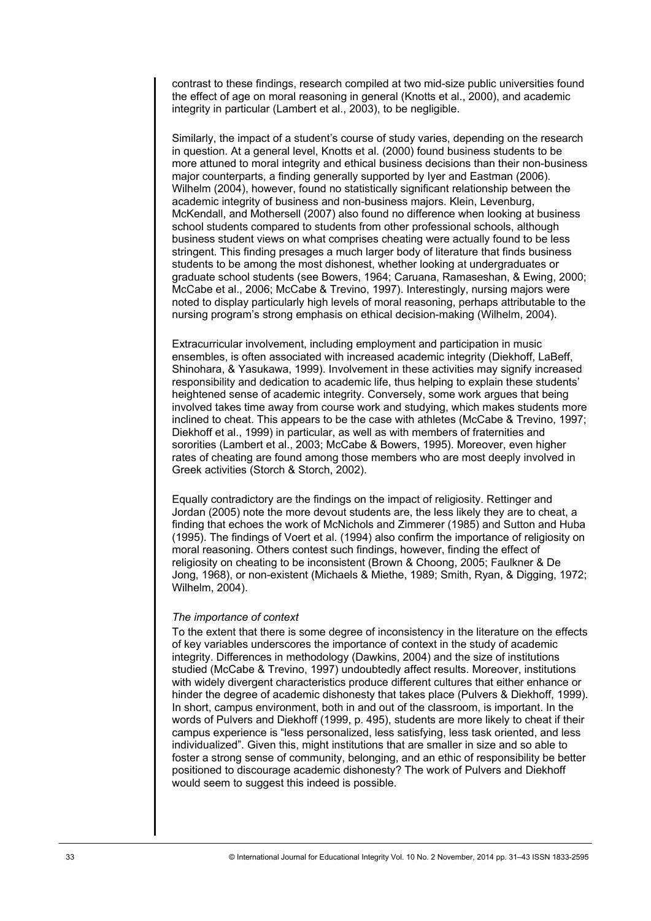contrast to these findings, research compiled at two mid-size public universities found the effect of age on moral reasoning in general (Knotts et al., 2000), and academic integrity in particular (Lambert et al., 2003), to be negligible.

Similarly, the impact of a student's course of study varies, depending on the research in question. At a general level, Knotts et al. (2000) found business students to be more attuned to moral integrity and ethical business decisions than their non-business major counterparts, a finding generally supported by Iyer and Eastman (2006). Wilhelm (2004), however, found no statistically significant relationship between the academic integrity of business and non-business majors. Klein, Levenburg, McKendall, and Mothersell (2007) also found no difference when looking at business school students compared to students from other professional schools, although business student views on what comprises cheating were actually found to be less stringent. This finding presages a much larger body of literature that finds business students to be among the most dishonest, whether looking at undergraduates or graduate school students (see Bowers, 1964; Caruana, Ramaseshan, & Ewing, 2000; McCabe et al., 2006; McCabe & Trevino, 1997). Interestingly, nursing majors were noted to display particularly high levels of moral reasoning, perhaps attributable to the nursing program's strong emphasis on ethical decision-making (Wilhelm, 2004).

Extracurricular involvement, including employment and participation in music ensembles, is often associated with increased academic integrity (Diekhoff, LaBeff, Shinohara, & Yasukawa, 1999). Involvement in these activities may signify increased responsibility and dedication to academic life, thus helping to explain these students' heightened sense of academic integrity. Conversely, some work argues that being involved takes time away from course work and studying, which makes students more inclined to cheat. This appears to be the case with athletes (McCabe & Trevino, 1997; Diekhoff et al., 1999) in particular, as well as with members of fraternities and sororities (Lambert et al., 2003; McCabe & Bowers, 1995). Moreover, even higher rates of cheating are found among those members who are most deeply involved in Greek activities (Storch & Storch, 2002).

Equally contradictory are the findings on the impact of religiosity. Rettinger and Jordan (2005) note the more devout students are, the less likely they are to cheat, a finding that echoes the work of McNichols and Zimmerer (1985) and Sutton and Huba (1995). The findings of Voert et al. (1994) also confirm the importance of religiosity on moral reasoning. Others contest such findings, however, finding the effect of religiosity on cheating to be inconsistent (Brown & Choong, 2005; Faulkner & De Jong, 1968), or non-existent (Michaels & Miethe, 1989; Smith, Ryan, & Digging, 1972; Wilhelm, 2004).

# *The importance of context*

To the extent that there is some degree of inconsistency in the literature on the effects of key variables underscores the importance of context in the study of academic integrity. Differences in methodology (Dawkins, 2004) and the size of institutions studied (McCabe & Trevino, 1997) undoubtedly affect results. Moreover, institutions with widely divergent characteristics produce different cultures that either enhance or hinder the degree of academic dishonesty that takes place (Pulvers & Diekhoff, 1999). In short, campus environment, both in and out of the classroom, is important. In the words of Pulvers and Diekhoff (1999, p. 495), students are more likely to cheat if their campus experience is "less personalized, less satisfying, less task oriented, and less individualized". Given this, might institutions that are smaller in size and so able to foster a strong sense of community, belonging, and an ethic of responsibility be better positioned to discourage academic dishonesty? The work of Pulvers and Diekhoff would seem to suggest this indeed is possible.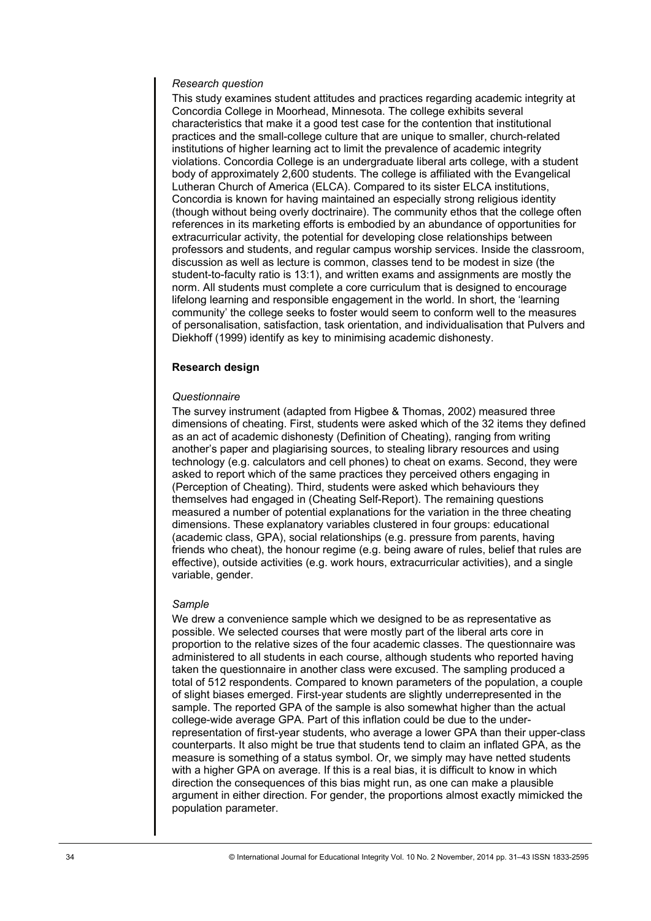# *Research question*

This study examines student attitudes and practices regarding academic integrity at Concordia College in Moorhead, Minnesota. The college exhibits several characteristics that make it a good test case for the contention that institutional practices and the small-college culture that are unique to smaller, church-related institutions of higher learning act to limit the prevalence of academic integrity violations. Concordia College is an undergraduate liberal arts college, with a student body of approximately 2,600 students. The college is affiliated with the Evangelical Lutheran Church of America (ELCA). Compared to its sister ELCA institutions, Concordia is known for having maintained an especially strong religious identity (though without being overly doctrinaire). The community ethos that the college often references in its marketing efforts is embodied by an abundance of opportunities for extracurricular activity, the potential for developing close relationships between professors and students, and regular campus worship services. Inside the classroom, discussion as well as lecture is common, classes tend to be modest in size (the student-to-faculty ratio is 13:1), and written exams and assignments are mostly the norm. All students must complete a core curriculum that is designed to encourage lifelong learning and responsible engagement in the world. In short, the 'learning community' the college seeks to foster would seem to conform well to the measures of personalisation, satisfaction, task orientation, and individualisation that Pulvers and Diekhoff (1999) identify as key to minimising academic dishonesty.

# **Research design**

# *Questionnaire*

The survey instrument (adapted from Higbee & Thomas, 2002) measured three dimensions of cheating. First, students were asked which of the 32 items they defined as an act of academic dishonesty (Definition of Cheating), ranging from writing another's paper and plagiarising sources, to stealing library resources and using technology (e.g. calculators and cell phones) to cheat on exams. Second, they were asked to report which of the same practices they perceived others engaging in (Perception of Cheating). Third, students were asked which behaviours they themselves had engaged in (Cheating Self-Report). The remaining questions measured a number of potential explanations for the variation in the three cheating dimensions. These explanatory variables clustered in four groups: educational (academic class, GPA), social relationships (e.g. pressure from parents, having friends who cheat), the honour regime (e.g. being aware of rules, belief that rules are effective), outside activities (e.g. work hours, extracurricular activities), and a single variable, gender.

## *Sample*

We drew a convenience sample which we designed to be as representative as possible. We selected courses that were mostly part of the liberal arts core in proportion to the relative sizes of the four academic classes. The questionnaire was administered to all students in each course, although students who reported having taken the questionnaire in another class were excused. The sampling produced a total of 512 respondents. Compared to known parameters of the population, a couple of slight biases emerged. First-year students are slightly underrepresented in the sample. The reported GPA of the sample is also somewhat higher than the actual college-wide average GPA. Part of this inflation could be due to the underrepresentation of first-year students, who average a lower GPA than their upper-class counterparts. It also might be true that students tend to claim an inflated GPA, as the measure is something of a status symbol. Or, we simply may have netted students with a higher GPA on average. If this is a real bias, it is difficult to know in which direction the consequences of this bias might run, as one can make a plausible argument in either direction. For gender, the proportions almost exactly mimicked the population parameter.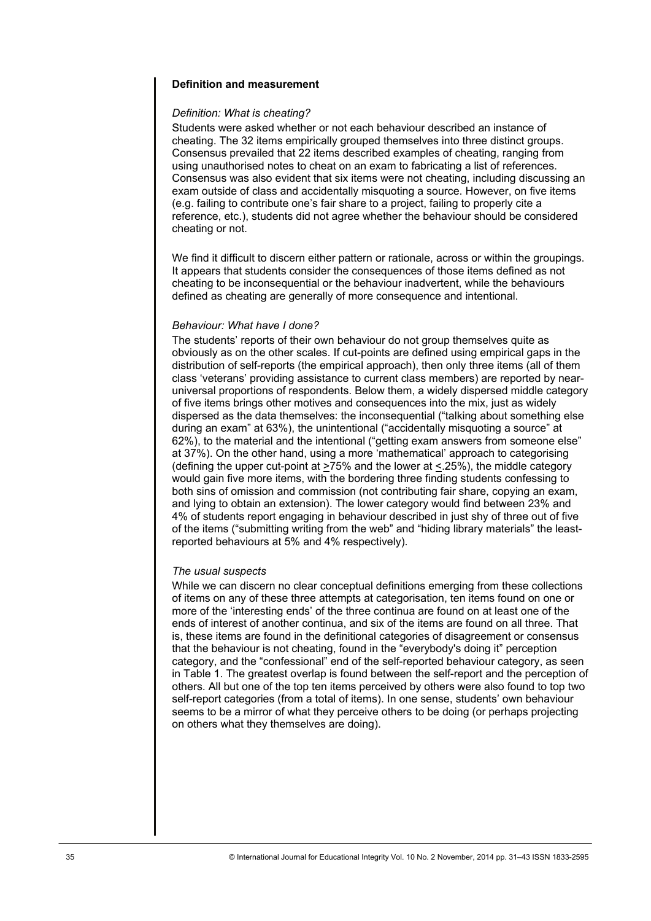# **Definition and measurement**

# *Definition: What is cheating?*

Students were asked whether or not each behaviour described an instance of cheating. The 32 items empirically grouped themselves into three distinct groups. Consensus prevailed that 22 items described examples of cheating, ranging from using unauthorised notes to cheat on an exam to fabricating a list of references. Consensus was also evident that six items were not cheating, including discussing an exam outside of class and accidentally misquoting a source. However, on five items (e.g. failing to contribute one's fair share to a project, failing to properly cite a reference, etc.), students did not agree whether the behaviour should be considered cheating or not.

We find it difficult to discern either pattern or rationale, across or within the groupings. It appears that students consider the consequences of those items defined as not cheating to be inconsequential or the behaviour inadvertent, while the behaviours defined as cheating are generally of more consequence and intentional.

# *Behaviour: What have I done?*

The students' reports of their own behaviour do not group themselves quite as obviously as on the other scales. If cut-points are defined using empirical gaps in the distribution of self-reports (the empirical approach), then only three items (all of them class 'veterans' providing assistance to current class members) are reported by nearuniversal proportions of respondents. Below them, a widely dispersed middle category of five items brings other motives and consequences into the mix, just as widely dispersed as the data themselves: the inconsequential ("talking about something else during an exam" at 63%), the unintentional ("accidentally misquoting a source" at 62%), to the material and the intentional ("getting exam answers from someone else" at 37%). On the other hand, using a more 'mathematical' approach to categorising (defining the upper cut-point at  $>75\%$  and the lower at <.25%), the middle category would gain five more items, with the bordering three finding students confessing to both sins of omission and commission (not contributing fair share, copying an exam, and lying to obtain an extension). The lower category would find between 23% and 4% of students report engaging in behaviour described in just shy of three out of five of the items ("submitting writing from the web" and "hiding library materials" the leastreported behaviours at 5% and 4% respectively).

## *The usual suspects*

While we can discern no clear conceptual definitions emerging from these collections of items on any of these three attempts at categorisation, ten items found on one or more of the 'interesting ends' of the three continua are found on at least one of the ends of interest of another continua, and six of the items are found on all three. That is, these items are found in the definitional categories of disagreement or consensus that the behaviour is not cheating, found in the "everybody's doing it" perception category, and the "confessional" end of the self-reported behaviour category, as seen in Table 1. The greatest overlap is found between the self-report and the perception of others. All but one of the top ten items perceived by others were also found to top two self-report categories (from a total of items). In one sense, students' own behaviour seems to be a mirror of what they perceive others to be doing (or perhaps projecting on others what they themselves are doing).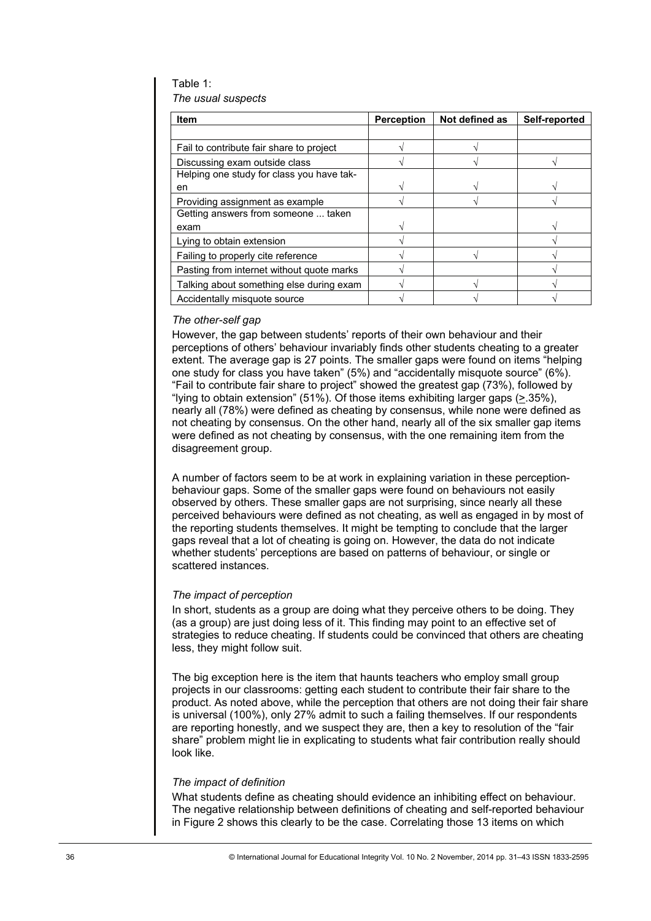Table 1: *The usual suspects* 

| Item                                                                                                                                                                                                                                                                                                                                                                                                                                                                                                                                                                                                                                                                                                                                                                                                                                                                                                                                                                                                                                                                                                                                                                                                                                                                                                                                                                                     | Perception | Not defined as | Self-reported |
|------------------------------------------------------------------------------------------------------------------------------------------------------------------------------------------------------------------------------------------------------------------------------------------------------------------------------------------------------------------------------------------------------------------------------------------------------------------------------------------------------------------------------------------------------------------------------------------------------------------------------------------------------------------------------------------------------------------------------------------------------------------------------------------------------------------------------------------------------------------------------------------------------------------------------------------------------------------------------------------------------------------------------------------------------------------------------------------------------------------------------------------------------------------------------------------------------------------------------------------------------------------------------------------------------------------------------------------------------------------------------------------|------------|----------------|---------------|
|                                                                                                                                                                                                                                                                                                                                                                                                                                                                                                                                                                                                                                                                                                                                                                                                                                                                                                                                                                                                                                                                                                                                                                                                                                                                                                                                                                                          |            |                |               |
| Fail to contribute fair share to project                                                                                                                                                                                                                                                                                                                                                                                                                                                                                                                                                                                                                                                                                                                                                                                                                                                                                                                                                                                                                                                                                                                                                                                                                                                                                                                                                 | V          | V              |               |
| Discussing exam outside class                                                                                                                                                                                                                                                                                                                                                                                                                                                                                                                                                                                                                                                                                                                                                                                                                                                                                                                                                                                                                                                                                                                                                                                                                                                                                                                                                            |            |                |               |
| Helping one study for class you have tak-                                                                                                                                                                                                                                                                                                                                                                                                                                                                                                                                                                                                                                                                                                                                                                                                                                                                                                                                                                                                                                                                                                                                                                                                                                                                                                                                                |            |                |               |
| en<br>Providing assignment as example                                                                                                                                                                                                                                                                                                                                                                                                                                                                                                                                                                                                                                                                                                                                                                                                                                                                                                                                                                                                                                                                                                                                                                                                                                                                                                                                                    |            |                |               |
| Getting answers from someone  taken                                                                                                                                                                                                                                                                                                                                                                                                                                                                                                                                                                                                                                                                                                                                                                                                                                                                                                                                                                                                                                                                                                                                                                                                                                                                                                                                                      |            |                |               |
| exam                                                                                                                                                                                                                                                                                                                                                                                                                                                                                                                                                                                                                                                                                                                                                                                                                                                                                                                                                                                                                                                                                                                                                                                                                                                                                                                                                                                     |            |                |               |
| Lying to obtain extension                                                                                                                                                                                                                                                                                                                                                                                                                                                                                                                                                                                                                                                                                                                                                                                                                                                                                                                                                                                                                                                                                                                                                                                                                                                                                                                                                                | V          |                |               |
| Failing to properly cite reference                                                                                                                                                                                                                                                                                                                                                                                                                                                                                                                                                                                                                                                                                                                                                                                                                                                                                                                                                                                                                                                                                                                                                                                                                                                                                                                                                       | V          | V              | V             |
| Pasting from internet without quote marks                                                                                                                                                                                                                                                                                                                                                                                                                                                                                                                                                                                                                                                                                                                                                                                                                                                                                                                                                                                                                                                                                                                                                                                                                                                                                                                                                | $\sqrt{}$  |                | $\sqrt{}$     |
| Talking about something else during exam                                                                                                                                                                                                                                                                                                                                                                                                                                                                                                                                                                                                                                                                                                                                                                                                                                                                                                                                                                                                                                                                                                                                                                                                                                                                                                                                                 | $\sqrt{}$  | V              | $\sqrt{}$     |
| Accidentally misquote source                                                                                                                                                                                                                                                                                                                                                                                                                                                                                                                                                                                                                                                                                                                                                                                                                                                                                                                                                                                                                                                                                                                                                                                                                                                                                                                                                             |            |                |               |
| perceptions of others' behaviour invariably finds other students cheating to a greater<br>extent. The average gap is 27 points. The smaller gaps were found on items "helping<br>one study for class you have taken" (5%) and "accidentally misquote source" (6%).<br>"Fail to contribute fair share to project" showed the greatest gap (73%), followed by<br>"lying to obtain extension" (51%). Of those items exhibiting larger gaps ( $\geq$ 35%),<br>nearly all (78%) were defined as cheating by consensus, while none were defined as<br>not cheating by consensus. On the other hand, nearly all of the six smaller gap items<br>were defined as not cheating by consensus, with the one remaining item from the<br>disagreement group.<br>A number of factors seem to be at work in explaining variation in these perception-<br>behaviour gaps. Some of the smaller gaps were found on behaviours not easily<br>observed by others. These smaller gaps are not surprising, since nearly all these<br>perceived behaviours were defined as not cheating, as well as engaged in by most of<br>the reporting students themselves. It might be tempting to conclude that the larger<br>gaps reveal that a lot of cheating is going on. However, the data do not indicate<br>whether students' perceptions are based on patterns of behaviour, or single or<br>scattered instances. |            |                |               |
| The impact of perception<br>In short, students as a group are doing what they perceive others to be doing. They<br>(as a group) are just doing less of it. This finding may point to an effective set of<br>strategies to reduce cheating. If students could be convinced that others are cheating<br>less, they might follow suit.                                                                                                                                                                                                                                                                                                                                                                                                                                                                                                                                                                                                                                                                                                                                                                                                                                                                                                                                                                                                                                                      |            |                |               |
| The big exception here is the item that haunts teachers who employ small group<br>projects in our classrooms: getting each student to contribute their fair share to the<br>product. As noted above, while the perception that others are not doing their fair share<br>is universal (100%), only 27% admit to such a failing themselves. If our respondents<br>are reporting honestly, and we suspect they are, then a key to resolution of the "fair<br>share" problem might lie in explicating to students what fair contribution really should<br>look like.                                                                                                                                                                                                                                                                                                                                                                                                                                                                                                                                                                                                                                                                                                                                                                                                                         |            |                |               |
| The impact of definition<br>What students define as cheating should evidence an inhibiting effect on behaviour.<br>The negative relationship between definitions of cheating and self-reported behaviour<br>in Figure 2 shows this clearly to be the case. Correlating those 13 items on which                                                                                                                                                                                                                                                                                                                                                                                                                                                                                                                                                                                                                                                                                                                                                                                                                                                                                                                                                                                                                                                                                           |            |                |               |
| © International Journal for Educational Integrity Vol. 10 No. 2 November, 2014 pp. 31-43 ISSN 1833-2595                                                                                                                                                                                                                                                                                                                                                                                                                                                                                                                                                                                                                                                                                                                                                                                                                                                                                                                                                                                                                                                                                                                                                                                                                                                                                  |            |                |               |

# *The other-self gap*

# *The impact of perception*

# *The impact of definition*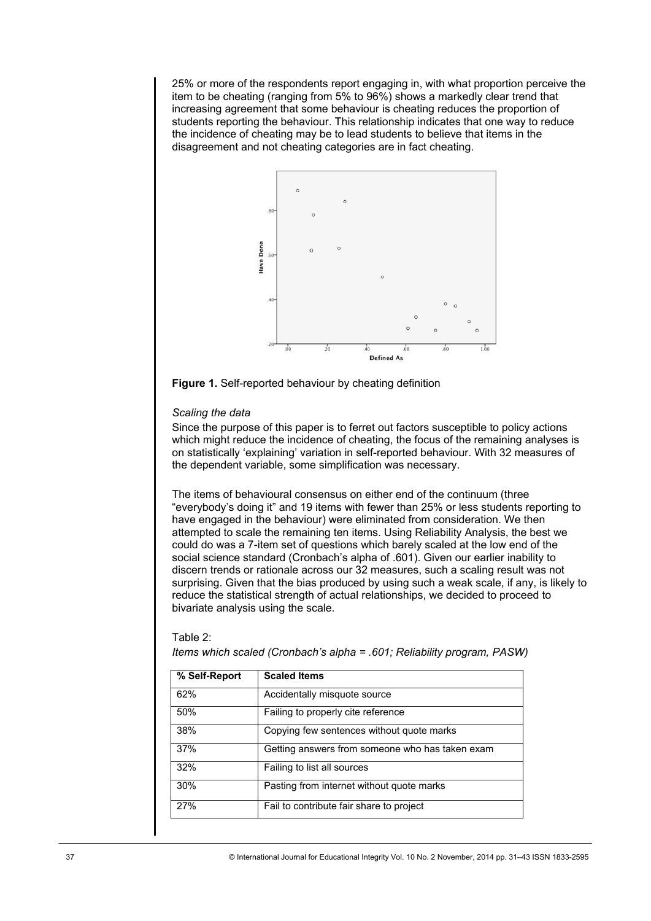25% or more of the respondents report engaging in, with what proportion perceive the item to be cheating (ranging from 5% to 96%) shows a markedly clear trend that increasing agreement that some behaviour is cheating reduces the proportion of students reporting the behaviour. This relationship indicates that one way to reduce the incidence of cheating may be to lead students to believe that items in the disagreement and not cheating categories are in fact cheating.



**Figure 1.** Self-reported behaviour by cheating definition

## *Scaling the data*

Since the purpose of this paper is to ferret out factors susceptible to policy actions which might reduce the incidence of cheating, the focus of the remaining analyses is on statistically 'explaining' variation in self-reported behaviour. With 32 measures of the dependent variable, some simplification was necessary.

The items of behavioural consensus on either end of the continuum (three "everybody's doing it" and 19 items with fewer than 25% or less students reporting to have engaged in the behaviour) were eliminated from consideration. We then attempted to scale the remaining ten items. Using Reliability Analysis, the best we could do was a 7-item set of questions which barely scaled at the low end of the social science standard (Cronbach's alpha of .601). Given our earlier inability to discern trends or rationale across our 32 measures, such a scaling result was not surprising. Given that the bias produced by using such a weak scale, if any, is likely to reduce the statistical strength of actual relationships, we decided to proceed to bivariate analysis using the scale.

# Equal Ions<br>
62% Accidentally misquote source<br>
50% Failing to properly cite reference<br>
38% Copying few sentences without quote marks<br>
37% Getting answers from someone who has taken exam<br>
32% Failing to list all sources<br>
30% 62% Accidentally misquote source 50% Failing to properly cite reference 38% Copying few sentences without quote marks 37% Getting answers from someone who has taken exam 32% Failing to list all sources 30% Pasting from internet without quote marks 27% Fail to contribute fair share to project

#### Table 2:

*Items which scaled (Cronbach's alpha = .601; Reliability program, PASW)*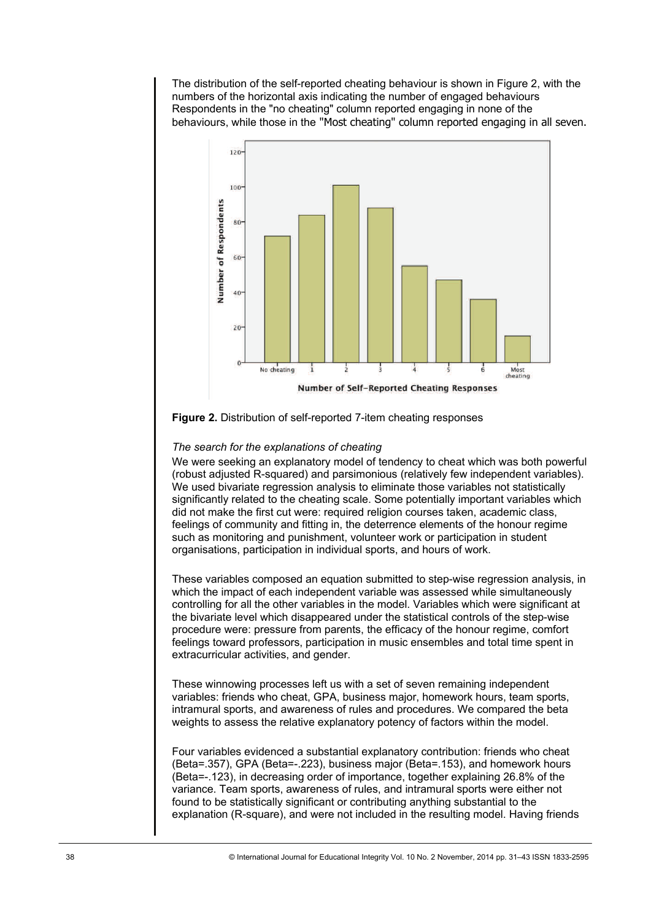The distribution of the self-reported cheating behaviour is shown in Figure 2, with the numbers of the horizontal axis indicating the number of engaged behaviours Respondents in the "no cheating" column reported engaging in none of the behaviours, while those in the "Most cheating" column reported engaging in all seven.



# **Figure 2.** Distribution of self-reported 7-item cheating responses

# *The search for the explanations of cheating*

We were seeking an explanatory model of tendency to cheat which was both powerful (robust adjusted R-squared) and parsimonious (relatively few independent variables). We used bivariate regression analysis to eliminate those variables not statistically significantly related to the cheating scale. Some potentially important variables which did not make the first cut were: required religion courses taken, academic class, feelings of community and fitting in, the deterrence elements of the honour regime such as monitoring and punishment, volunteer work or participation in student organisations, participation in individual sports, and hours of work.

These variables composed an equation submitted to step-wise regression analysis, in which the impact of each independent variable was assessed while simultaneously controlling for all the other variables in the model. Variables which were significant at the bivariate level which disappeared under the statistical controls of the step-wise procedure were: pressure from parents, the efficacy of the honour regime, comfort feelings toward professors, participation in music ensembles and total time spent in extracurricular activities, and gender.

These winnowing processes left us with a set of seven remaining independent variables: friends who cheat, GPA, business major, homework hours, team sports, intramural sports, and awareness of rules and procedures. We compared the beta weights to assess the relative explanatory potency of factors within the model.

Four variables evidenced a substantial explanatory contribution: friends who cheat (Beta=.357), GPA (Beta=-.223), business major (Beta=.153), and homework hours (Beta=-.123), in decreasing order of importance, together explaining 26.8% of the variance. Team sports, awareness of rules, and intramural sports were either not found to be statistically significant or contributing anything substantial to the explanation (R-square), and were not included in the resulting model. Having friends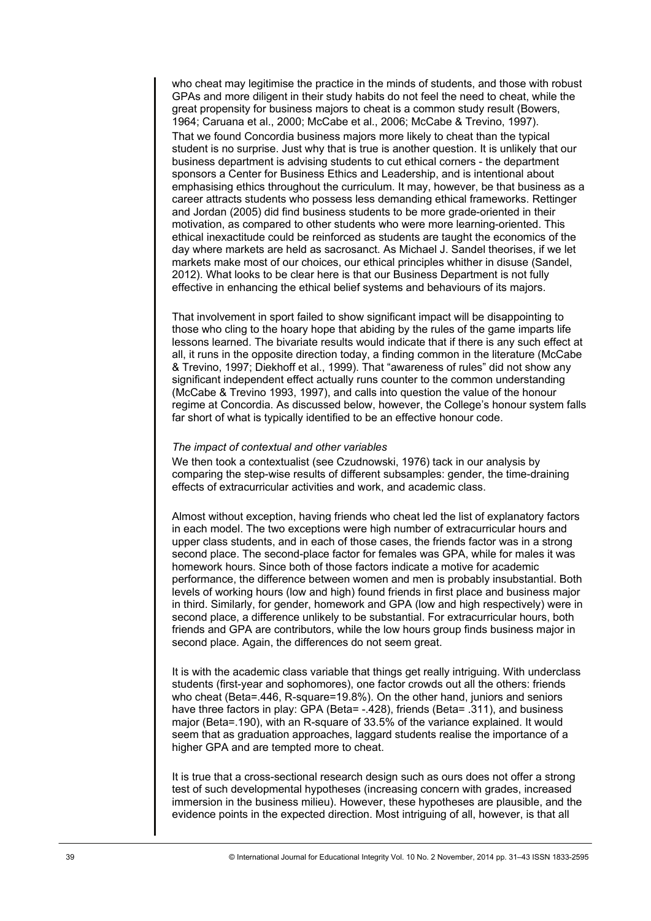who cheat may legitimise the practice in the minds of students, and those with robust GPAs and more diligent in their study habits do not feel the need to cheat, while the great propensity for business majors to cheat is a common study result (Bowers, 1964; Caruana et al., 2000; McCabe et al., 2006; McCabe & Trevino, 1997). That we found Concordia business majors more likely to cheat than the typical student is no surprise. Just why that is true is another question. It is unlikely that our business department is advising students to cut ethical corners - the department sponsors a Center for Business Ethics and Leadership, and is intentional about emphasising ethics throughout the curriculum. It may, however, be that business as a career attracts students who possess less demanding ethical frameworks. Rettinger and Jordan (2005) did find business students to be more grade-oriented in their motivation, as compared to other students who were more learning-oriented. This ethical inexactitude could be reinforced as students are taught the economics of the day where markets are held as sacrosanct. As Michael J. Sandel theorises, if we let markets make most of our choices, our ethical principles whither in disuse (Sandel, 2012). What looks to be clear here is that our Business Department is not fully effective in enhancing the ethical belief systems and behaviours of its majors.

That involvement in sport failed to show significant impact will be disappointing to those who cling to the hoary hope that abiding by the rules of the game imparts life lessons learned. The bivariate results would indicate that if there is any such effect at all, it runs in the opposite direction today, a finding common in the literature (McCabe & Trevino, 1997; Diekhoff et al., 1999). That "awareness of rules" did not show any significant independent effect actually runs counter to the common understanding (McCabe & Trevino 1993, 1997), and calls into question the value of the honour regime at Concordia. As discussed below, however, the College's honour system falls far short of what is typically identified to be an effective honour code.

#### *The impact of contextual and other variables*

We then took a contextualist (see Czudnowski, 1976) tack in our analysis by comparing the step-wise results of different subsamples: gender, the time-draining effects of extracurricular activities and work, and academic class.

Almost without exception, having friends who cheat led the list of explanatory factors in each model. The two exceptions were high number of extracurricular hours and upper class students, and in each of those cases, the friends factor was in a strong second place. The second-place factor for females was GPA, while for males it was homework hours. Since both of those factors indicate a motive for academic performance, the difference between women and men is probably insubstantial. Both levels of working hours (low and high) found friends in first place and business major in third. Similarly, for gender, homework and GPA (low and high respectively) were in second place, a difference unlikely to be substantial. For extracurricular hours, both friends and GPA are contributors, while the low hours group finds business major in second place. Again, the differences do not seem great.

It is with the academic class variable that things get really intriguing. With underclass students (first-year and sophomores), one factor crowds out all the others: friends who cheat (Beta=.446, R-square=19.8%). On the other hand, juniors and seniors have three factors in play: GPA (Beta= -.428), friends (Beta= .311), and business major (Beta=.190), with an R-square of 33.5% of the variance explained. It would seem that as graduation approaches, laggard students realise the importance of a higher GPA and are tempted more to cheat.

It is true that a cross-sectional research design such as ours does not offer a strong test of such developmental hypotheses (increasing concern with grades, increased immersion in the business milieu). However, these hypotheses are plausible, and the evidence points in the expected direction. Most intriguing of all, however, is that all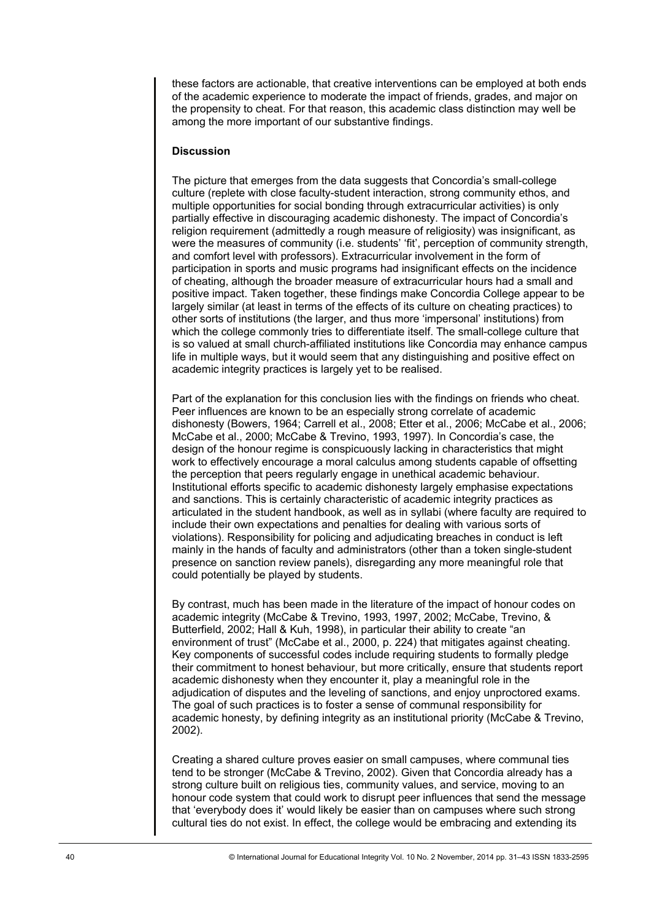these factors are actionable, that creative interventions can be employed at both ends of the academic experience to moderate the impact of friends, grades, and major on the propensity to cheat. For that reason, this academic class distinction may well be among the more important of our substantive findings.

# **Discussion**

The picture that emerges from the data suggests that Concordia's small-college culture (replete with close faculty-student interaction, strong community ethos, and multiple opportunities for social bonding through extracurricular activities) is only partially effective in discouraging academic dishonesty. The impact of Concordia's religion requirement (admittedly a rough measure of religiosity) was insignificant, as were the measures of community (i.e. students' 'fit', perception of community strength, and comfort level with professors). Extracurricular involvement in the form of participation in sports and music programs had insignificant effects on the incidence of cheating, although the broader measure of extracurricular hours had a small and positive impact. Taken together, these findings make Concordia College appear to be largely similar (at least in terms of the effects of its culture on cheating practices) to other sorts of institutions (the larger, and thus more 'impersonal' institutions) from which the college commonly tries to differentiate itself. The small-college culture that is so valued at small church-affiliated institutions like Concordia may enhance campus life in multiple ways, but it would seem that any distinguishing and positive effect on academic integrity practices is largely yet to be realised.

Part of the explanation for this conclusion lies with the findings on friends who cheat. Peer influences are known to be an especially strong correlate of academic dishonesty (Bowers, 1964; Carrell et al., 2008; Etter et al., 2006; McCabe et al., 2006; McCabe et al., 2000; McCabe & Trevino, 1993, 1997). In Concordia's case, the design of the honour regime is conspicuously lacking in characteristics that might work to effectively encourage a moral calculus among students capable of offsetting the perception that peers regularly engage in unethical academic behaviour. Institutional efforts specific to academic dishonesty largely emphasise expectations and sanctions. This is certainly characteristic of academic integrity practices as articulated in the student handbook, as well as in syllabi (where faculty are required to include their own expectations and penalties for dealing with various sorts of violations). Responsibility for policing and adjudicating breaches in conduct is left mainly in the hands of faculty and administrators (other than a token single-student presence on sanction review panels), disregarding any more meaningful role that could potentially be played by students.

By contrast, much has been made in the literature of the impact of honour codes on academic integrity (McCabe & Trevino, 1993, 1997, 2002; McCabe, Trevino, & Butterfield, 2002; Hall & Kuh, 1998), in particular their ability to create "an environment of trust" (McCabe et al., 2000, p. 224) that mitigates against cheating. Key components of successful codes include requiring students to formally pledge their commitment to honest behaviour, but more critically, ensure that students report academic dishonesty when they encounter it, play a meaningful role in the adjudication of disputes and the leveling of sanctions, and enjoy unproctored exams. The goal of such practices is to foster a sense of communal responsibility for academic honesty, by defining integrity as an institutional priority (McCabe & Trevino, 2002).

Creating a shared culture proves easier on small campuses, where communal ties tend to be stronger (McCabe & Trevino, 2002). Given that Concordia already has a strong culture built on religious ties, community values, and service, moving to an honour code system that could work to disrupt peer influences that send the message that 'everybody does it' would likely be easier than on campuses where such strong cultural ties do not exist. In effect, the college would be embracing and extending its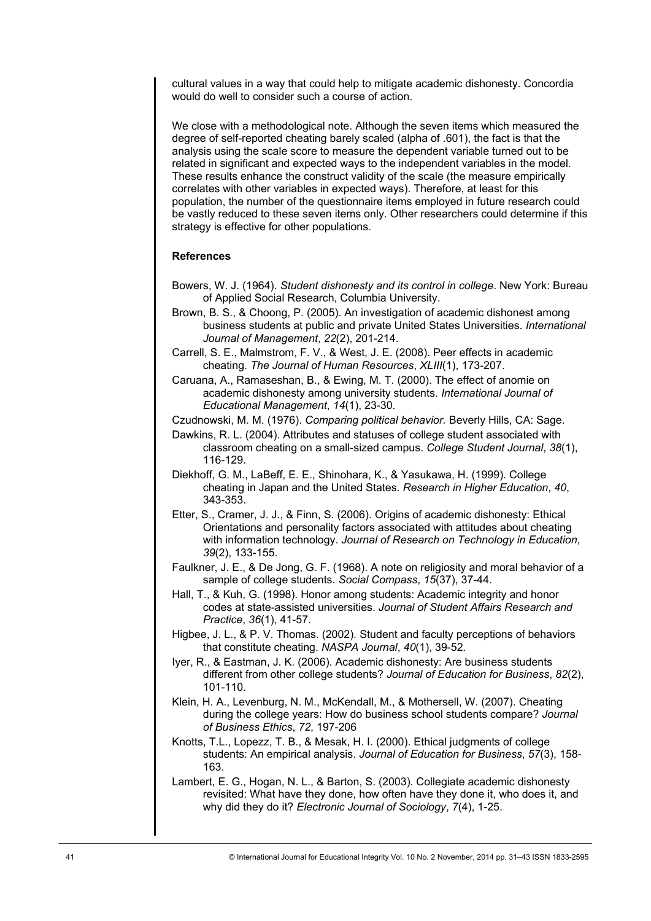cultural values in a way that could help to mitigate academic dishonesty. Concordia would do well to consider such a course of action.

We close with a methodological note. Although the seven items which measured the degree of self-reported cheating barely scaled (alpha of .601), the fact is that the analysis using the scale score to measure the dependent variable turned out to be related in significant and expected ways to the independent variables in the model. These results enhance the construct validity of the scale (the measure empirically correlates with other variables in expected ways). Therefore, at least for this population, the number of the questionnaire items employed in future research could be vastly reduced to these seven items only. Other researchers could determine if this strategy is effective for other populations.

# **References**

- Bowers, W. J. (1964). *Student dishonesty and its control in college*. New York: Bureau of Applied Social Research, Columbia University.
- Brown, B. S., & Choong, P. (2005). An investigation of academic dishonest among business students at public and private United States Universities. *International Journal of Management*, *22*(2), 201-214.
- Carrell, S. E., Malmstrom, F. V., & West, J. E. (2008). Peer effects in academic cheating. *The Journal of Human Resources*, *XLIII*(1), 173-207.
- Caruana, A., Ramaseshan, B., & Ewing, M. T. (2000). The effect of anomie on academic dishonesty among university students. *International Journal of Educational Management*, *14*(1), 23-30.
- Czudnowski, M. M. (1976). *Comparing political behavior.* Beverly Hills, CA: Sage.
- Dawkins, R. L. (2004). Attributes and statuses of college student associated with classroom cheating on a small-sized campus. *College Student Journal*, *38*(1), 116-129.
- Diekhoff, G. M., LaBeff, E. E., Shinohara, K., & Yasukawa, H. (1999). College cheating in Japan and the United States. *Research in Higher Education*, *40*, 343-353.
- Etter, S., Cramer, J. J., & Finn, S. (2006). Origins of academic dishonesty: Ethical Orientations and personality factors associated with attitudes about cheating with information technology. *Journal of Research on Technology in Education*, *39*(2), 133-155.
- Faulkner, J. E., & De Jong, G. F. (1968). A note on religiosity and moral behavior of a sample of college students. *Social Compass*, *15*(37), 37-44.
- Hall, T., & Kuh, G. (1998). Honor among students: Academic integrity and honor codes at state-assisted universities. *Journal of Student Affairs Research and Practice*, *36*(1), 41-57.
- Higbee, J. L., & P. V. Thomas. (2002). Student and faculty perceptions of behaviors that constitute cheating. *NASPA Journal*, *40*(1), 39-52*.*
- Iyer, R., & Eastman, J. K. (2006). Academic dishonesty: Are business students different from other college students? *Journal of Education for Business*, *82*(2), 101-110.
- Klein, H. A., Levenburg, N. M., McKendall, M., & Mothersell, W. (2007). Cheating during the college years: How do business school students compare? *Journal of Business Ethics*, *72*, 197-206
- Knotts, T.L., Lopezz, T. B., & Mesak, H. I. (2000). Ethical judgments of college students: An empirical analysis. *Journal of Education for Business*, *57*(3), 158- 163.
- Lambert, E. G., Hogan, N. L., & Barton, S. (2003). Collegiate academic dishonesty revisited: What have they done, how often have they done it, who does it, and why did they do it? *Electronic Journal of Sociology*, *7*(4), 1-25.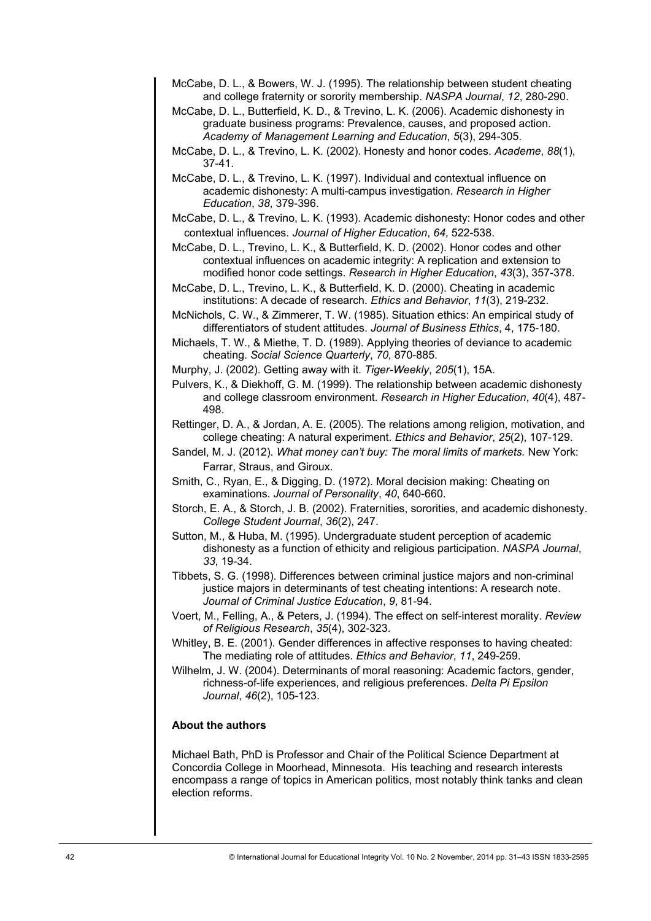- McCabe, D. L., & Bowers, W. J. (1995). The relationship between student cheating and college fraternity or sorority membership. *NASPA Journal*, *12*, 280-290.
- McCabe, D. L., Butterfield, K. D., & Trevino, L. K. (2006). Academic dishonesty in graduate business programs: Prevalence, causes, and proposed action. *Academy of Management Learning and Education*, *5*(3), 294-305.
- McCabe, D. L., & Trevino, L. K. (2002). Honesty and honor codes. *Academe*, *88*(1), 37-41.
- McCabe, D. L., & Trevino, L. K. (1997). Individual and contextual influence on academic dishonesty: A multi-campus investigation. *Research in Higher Education*, *38*, 379-396.
- McCabe, D. L., & Trevino, L. K. (1993). Academic dishonesty: Honor codes and other contextual influences. *Journal of Higher Education*, *64*, 522-538.
- McCabe, D. L., Trevino, L. K., & Butterfield, K. D. (2002). Honor codes and other contextual influences on academic integrity: A replication and extension to modified honor code settings. *Research in Higher Education*, *43*(3), 357-378.
- McCabe, D. L., Trevino, L. K., & Butterfield, K. D. (2000). Cheating in academic institutions: A decade of research. *Ethics and Behavior*, *11*(3), 219-232.
- McNichols, C. W., & Zimmerer, T. W. (1985). Situation ethics: An empirical study of differentiators of student attitudes. *Journal of Business Ethics*, 4, 175-180.
- Michaels, T. W., & Miethe, T. D. (1989). Applying theories of deviance to academic cheating. *Social Science Quarterly*, *70*, 870-885.
- Murphy, J. (2002). Getting away with it. *Tiger-Weekly*, *205*(1), 15A.
- Pulvers, K., & Diekhoff, G. M. (1999). The relationship between academic dishonesty and college classroom environment. *Research in Higher Education*, *40*(4), 487- 498.
- Rettinger, D. A., & Jordan, A. E. (2005). The relations among religion, motivation, and college cheating: A natural experiment. *Ethics and Behavior*, *25*(2), 107-129.
- Sandel, M. J. (2012). *What money can't buy: The moral limits of markets.* New York: Farrar, Straus, and Giroux.
- Smith, C., Ryan, E., & Digging, D. (1972). Moral decision making: Cheating on examinations. *Journal of Personality*, *40*, 640-660.
- Storch, E. A., & Storch, J. B. (2002). Fraternities, sororities, and academic dishonesty. *College Student Journal*, *36*(2), 247.
- Sutton, M., & Huba, M. (1995). Undergraduate student perception of academic dishonesty as a function of ethicity and religious participation. *NASPA Journal*, *33*, 19-34.
- Tibbets, S. G. (1998). Differences between criminal justice majors and non-criminal justice majors in determinants of test cheating intentions: A research note. *Journal of Criminal Justice Education*, *9*, 81-94.
- Voert, M., Felling, A., & Peters, J. (1994). The effect on self-interest morality. *Review of Religious Research*, *35*(4), 302-323.
- Whitley, B. E. (2001). Gender differences in affective responses to having cheated: The mediating role of attitudes. *Ethics and Behavior*, *11*, 249-259.
- Wilhelm, J. W. (2004). Determinants of moral reasoning: Academic factors, gender, richness-of-life experiences, and religious preferences. *Delta Pi Epsilon Journal*, *46*(2), 105-123.

# **About the authors**

Michael Bath, PhD is Professor and Chair of the Political Science Department at Concordia College in Moorhead, Minnesota. His teaching and research interests encompass a range of topics in American politics, most notably think tanks and clean election reforms.